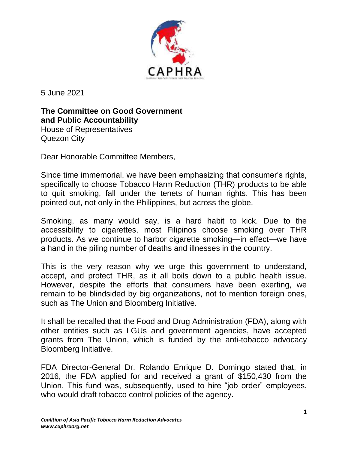

5 June 2021

**The Committee on Good Government and Public Accountability** House of Representatives Quezon City

Dear Honorable Committee Members,

Since time immemorial, we have been emphasizing that consumer's rights, specifically to choose Tobacco Harm Reduction (THR) products to be able to quit smoking, fall under the tenets of human rights. This has been pointed out, not only in the Philippines, but across the globe.

Smoking, as many would say, is a hard habit to kick. Due to the accessibility to cigarettes, most Filipinos choose smoking over THR products. As we continue to harbor cigarette smoking—in effect—we have a hand in the piling number of deaths and illnesses in the country.

This is the very reason why we urge this government to understand, accept, and protect THR, as it all boils down to a public health issue. However, despite the efforts that consumers have been exerting, we remain to be blindsided by big organizations, not to mention foreign ones, such as The Union and Bloomberg Initiative.

It shall be recalled that the Food and Drug Administration (FDA), along with other entities such as LGUs and government agencies, have accepted grants from The Union, which is funded by the anti-tobacco advocacy Bloomberg Initiative.

FDA Director-General Dr. Rolando Enrique D. Domingo stated that, in 2016, the FDA applied for and received a grant of \$150,430 from the Union. This fund was, subsequently, used to hire "job order" employees, who would draft tobacco control policies of the agency.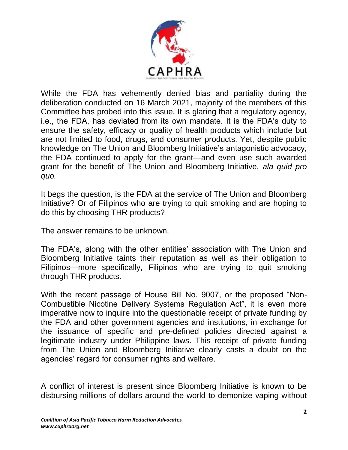

While the FDA has vehemently denied bias and partiality during the deliberation conducted on 16 March 2021, majority of the members of this Committee has probed into this issue. It is glaring that a regulatory agency, i.e., the FDA, has deviated from its own mandate. It is the FDA's duty to ensure the safety, efficacy or quality of health products which include but are not limited to food, drugs, and consumer products. Yet, despite public knowledge on The Union and Bloomberg Initiative's antagonistic advocacy, the FDA continued to apply for the grant—and even use such awarded grant for the benefit of The Union and Bloomberg Initiative, *ala quid pro quo.*

It begs the question, is the FDA at the service of The Union and Bloomberg Initiative? Or of Filipinos who are trying to quit smoking and are hoping to do this by choosing THR products?

The answer remains to be unknown.

The FDA's, along with the other entities' association with The Union and Bloomberg Initiative taints their reputation as well as their obligation to Filipinos—more specifically, Filipinos who are trying to quit smoking through THR products.

With the recent passage of House Bill No. 9007, or the proposed "Non-Combustible Nicotine Delivery Systems Regulation Act", it is even more imperative now to inquire into the questionable receipt of private funding by the FDA and other government agencies and institutions, in exchange for the issuance of specific and pre-defined policies directed against a legitimate industry under Philippine laws. This receipt of private funding from The Union and Bloomberg Initiative clearly casts a doubt on the agencies' regard for consumer rights and welfare.

A conflict of interest is present since Bloomberg Initiative is known to be disbursing millions of dollars around the world to demonize vaping without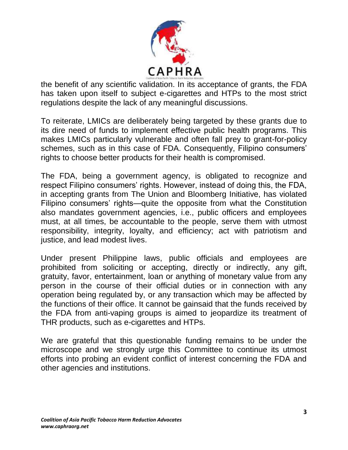

the benefit of any scientific validation. In its acceptance of grants, the FDA has taken upon itself to subject e-cigarettes and HTPs to the most strict regulations despite the lack of any meaningful discussions.

To reiterate, LMICs are deliberately being targeted by these grants due to its dire need of funds to implement effective public health programs. This makes LMICs particularly vulnerable and often fall prey to grant-for-policy schemes, such as in this case of FDA. Consequently, Filipino consumers' rights to choose better products for their health is compromised.

The FDA, being a government agency, is obligated to recognize and respect Filipino consumers' rights. However, instead of doing this, the FDA, in accepting grants from The Union and Bloomberg Initiative, has violated Filipino consumers' rights—quite the opposite from what the Constitution also mandates government agencies, i.e., public officers and employees must, at all times, be accountable to the people, serve them with utmost responsibility, integrity, loyalty, and efficiency; act with patriotism and justice, and lead modest lives.

Under present Philippine laws, public officials and employees are prohibited from soliciting or accepting, directly or indirectly, any gift, gratuity, favor, entertainment, loan or anything of monetary value from any person in the course of their official duties or in connection with any operation being regulated by, or any transaction which may be affected by the functions of their office. It cannot be gainsaid that the funds received by the FDA from anti-vaping groups is aimed to jeopardize its treatment of THR products, such as e-cigarettes and HTPs.

We are grateful that this questionable funding remains to be under the microscope and we strongly urge this Committee to continue its utmost efforts into probing an evident conflict of interest concerning the FDA and other agencies and institutions.